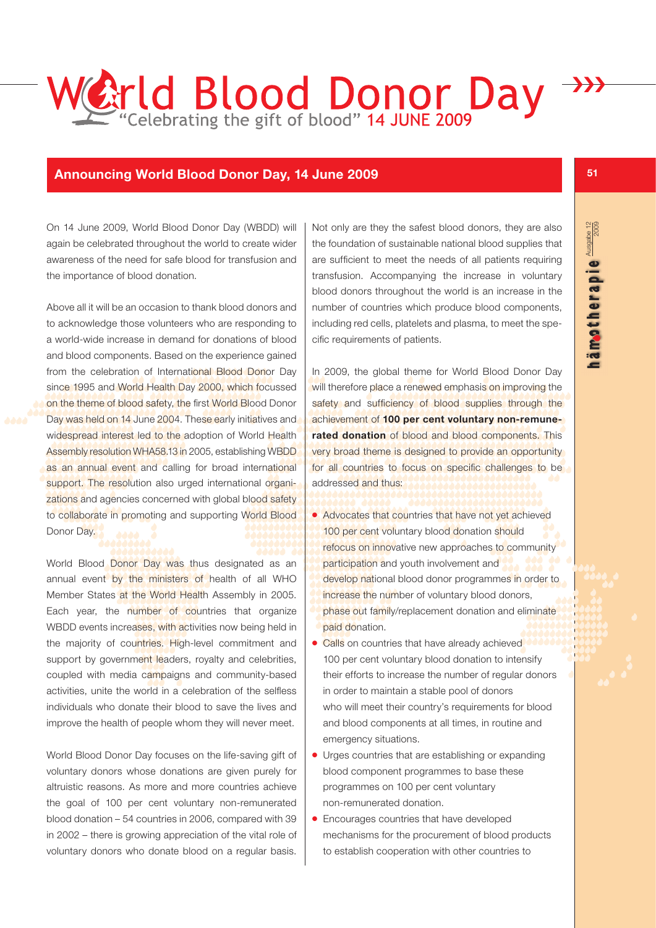## **Arld Blood Donor Day** ›››

## **Announcing World Blood Donor Day, 14 June 2009**

On 14 June 2009, World Blood Donor Day (WBDD) will again be celebrated throughout the world to create wider awareness of the need for safe blood for transfusion and the importance of blood donation.

Above all it will be an occasion to thank blood donors and to acknowledge those volunteers who are responding to a world-wide increase in demand for donations of blood and blood components. Based on the experience gained from the celebration of International Blood Donor Day since 1995 and World Health Day 2000, which focussed on the theme of blood safety, the first World Blood Donor Day was held on 14 June 2004. These early initiatives and widespread interest led to the adoption of World Health Assembly resolution WHA58.13 in 2005, establishing WBDD as an annual event and calling for broad international support. The resolution also urged international organizations and agencies concerned with global blood safety to collaborate in promoting and supporting World Blood Donor Day.

World Blood Donor Day was thus designated as an annual event by the ministers of health of all WHO Member States at the World Health Assembly in 2005. Each year, the number of countries that organize WBDD events increases, with activities now being held in the majority of countries. High-level commitment and support by government leaders, royalty and celebrities, coupled with media campaigns and community-based activities, unite the world in a celebration of the selfless individuals who donate their blood to save the lives and improve the health of people whom they will never meet.

World Blood Donor Day focuses on the life-saving gift of voluntary donors whose donations are given purely for altruistic reasons. As more and more countries achieve the goal of 100 per cent voluntary non-remunerated blood donation – 54 countries in 2006, compared with 39 in 2002 – there is growing appreciation of the vital role of voluntary donors who donate blood on a regular basis.

Not only are they the safest blood donors, they are also the foundation of sustainable national blood supplies that are sufficient to meet the needs of all patients requiring transfusion. Accompanying the increase in voluntary blood donors throughout the world is an increase in the number of countries which produce blood components, including red cells, platelets and plasma, to meet the specific requirements of patients.

In 2009, the global theme for World Blood Donor Day will therefore place a renewed emphasis on improving the safety and sufficiency of blood supplies through the achievement of **100 per cent voluntary non-remunerated donation** of blood and blood components. This very broad theme is designed to provide an opportunity for all countries to focus on specific challenges to be addressed and thus:

- Advocates that countries that have not yet achieved 100 per cent voluntary blood donation should refocus on innovative new approaches to community participation and youth involvement and develop national blood donor programmes in order to increase the number of voluntary blood donors, phase out family/replacement donation and eliminate paid donation.
- Calls on countries that have already achieved 100 per cent voluntary blood donation to intensify their efforts to increase the number of regular donors in order to maintain a stable pool of donors who will meet their country's requirements for blood and blood components at all times, in routine and emergency situations.
- Urges countries that are establishing or expanding blood component programmes to base these programmes on 100 per cent voluntary non-remunerated donation.
- Encourages countries that have developed mechanisms for the procurement of blood products to establish cooperation with other countries to

**51**